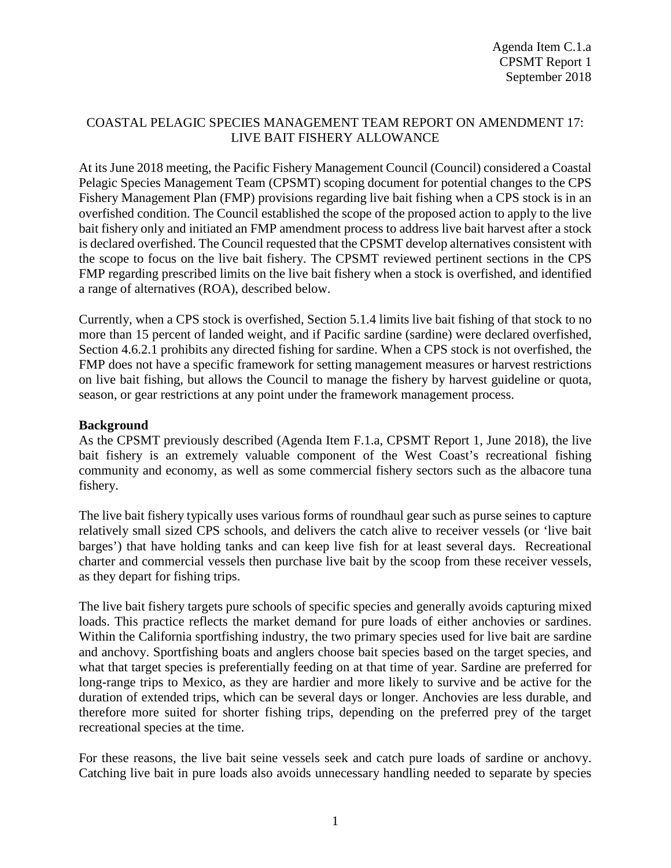# COASTAL PELAGIC SPECIES MANAGEMENT TEAM REPORT ON AMENDMENT 17: LIVE BAIT FISHERY ALLOWANCE

At its June 2018 meeting, the Pacific Fishery Management Council (Council) considered a Coastal Pelagic Species Management Team (CPSMT) scoping document for potential changes to the CPS Fishery Management Plan (FMP) provisions regarding live bait fishing when a CPS stock is in an overfished condition. The Council established the scope of the proposed action to apply to the live bait fishery only and initiated an FMP amendment process to address live bait harvest after a stock is declared overfished. The Council requested that the CPSMT develop alternatives consistent with the scope to focus on the live bait fishery. The CPSMT reviewed pertinent sections in the CPS FMP regarding prescribed limits on the live bait fishery when a stock is overfished, and identified a range of alternatives (ROA), described below.

Currently, when a CPS stock is overfished, Section 5.1.4 limits live bait fishing of that stock to no more than 15 percent of landed weight, and if Pacific sardine (sardine) were declared overfished, Section 4.6.2.1 prohibits any directed fishing for sardine. When a CPS stock is not overfished, the FMP does not have a specific framework for setting management measures or harvest restrictions on live bait fishing, but allows the Council to manage the fishery by harvest guideline or quota, season, or gear restrictions at any point under the framework management process.

# **Background**

As the CPSMT previously described (Agenda Item F.1.a, CPSMT Report 1, June 2018), the live bait fishery is an extremely valuable component of the West Coast's recreational fishing community and economy, as well as some commercial fishery sectors such as the albacore tuna fishery.

The live bait fishery typically uses various forms of roundhaul gear such as purse seines to capture relatively small sized CPS schools, and delivers the catch alive to receiver vessels (or 'live bait barges') that have holding tanks and can keep live fish for at least several days. Recreational charter and commercial vessels then purchase live bait by the scoop from these receiver vessels, as they depart for fishing trips.

The live bait fishery targets pure schools of specific species and generally avoids capturing mixed loads. This practice reflects the market demand for pure loads of either anchovies or sardines. Within the California sportfishing industry, the two primary species used for live bait are sardine and anchovy. Sportfishing boats and anglers choose bait species based on the target species, and what that target species is preferentially feeding on at that time of year. Sardine are preferred for long-range trips to Mexico, as they are hardier and more likely to survive and be active for the duration of extended trips, which can be several days or longer. Anchovies are less durable, and therefore more suited for shorter fishing trips, depending on the preferred prey of the target recreational species at the time.

For these reasons, the live bait seine vessels seek and catch pure loads of sardine or anchovy. Catching live bait in pure loads also avoids unnecessary handling needed to separate by species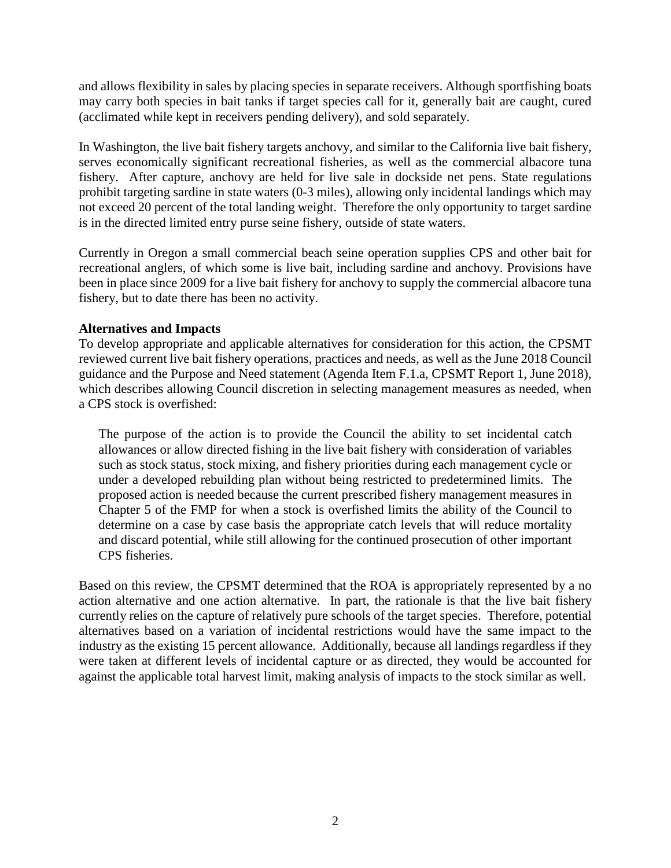and allows flexibility in sales by placing species in separate receivers. Although sportfishing boats may carry both species in bait tanks if target species call for it, generally bait are caught, cured (acclimated while kept in receivers pending delivery), and sold separately.

In Washington, the live bait fishery targets anchovy, and similar to the California live bait fishery, serves economically significant recreational fisheries, as well as the commercial albacore tuna fishery. After capture, anchovy are held for live sale in dockside net pens. State regulations prohibit targeting sardine in state waters (0-3 miles), allowing only incidental landings which may not exceed 20 percent of the total landing weight. Therefore the only opportunity to target sardine is in the directed limited entry purse seine fishery, outside of state waters.

Currently in Oregon a small commercial beach seine operation supplies CPS and other bait for recreational anglers, of which some is live bait, including sardine and anchovy. Provisions have been in place since 2009 for a live bait fishery for anchovy to supply the commercial albacore tuna fishery, but to date there has been no activity.

### **Alternatives and Impacts**

To develop appropriate and applicable alternatives for consideration for this action, the CPSMT reviewed current live bait fishery operations, practices and needs, as well as the June 2018 Council guidance and the Purpose and Need statement (Agenda Item F.1.a, CPSMT Report 1, June 2018), which describes allowing Council discretion in selecting management measures as needed, when a CPS stock is overfished:

The purpose of the action is to provide the Council the ability to set incidental catch allowances or allow directed fishing in the live bait fishery with consideration of variables such as stock status, stock mixing, and fishery priorities during each management cycle or under a developed rebuilding plan without being restricted to predetermined limits. The proposed action is needed because the current prescribed fishery management measures in Chapter 5 of the FMP for when a stock is overfished limits the ability of the Council to determine on a case by case basis the appropriate catch levels that will reduce mortality and discard potential, while still allowing for the continued prosecution of other important CPS fisheries.

Based on this review, the CPSMT determined that the ROA is appropriately represented by a no action alternative and one action alternative. In part, the rationale is that the live bait fishery currently relies on the capture of relatively pure schools of the target species. Therefore, potential alternatives based on a variation of incidental restrictions would have the same impact to the industry as the existing 15 percent allowance. Additionally, because all landings regardless if they were taken at different levels of incidental capture or as directed, they would be accounted for against the applicable total harvest limit, making analysis of impacts to the stock similar as well.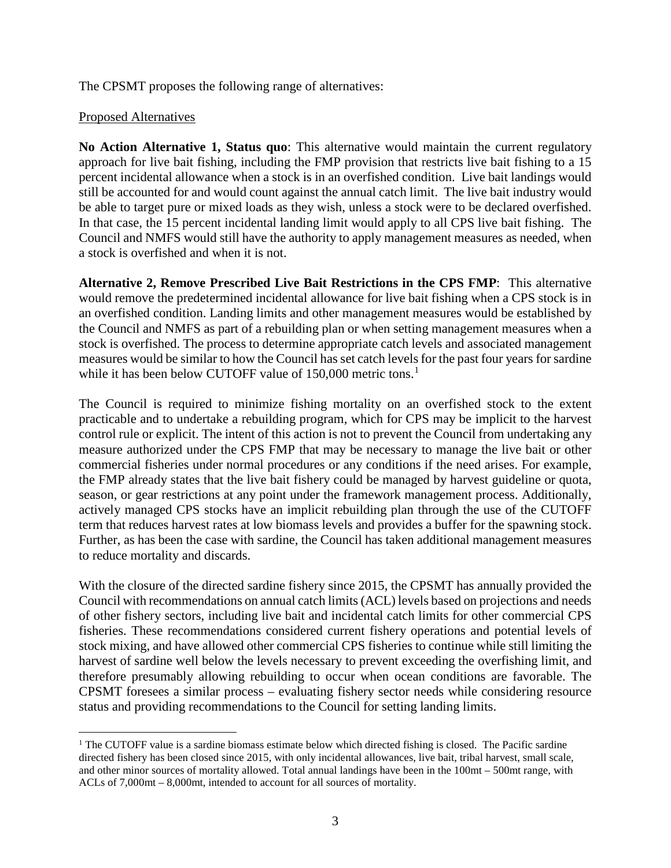The CPSMT proposes the following range of alternatives:

## Proposed Alternatives

**No Action Alternative 1, Status quo**: This alternative would maintain the current regulatory approach for live bait fishing, including the FMP provision that restricts live bait fishing to a 15 percent incidental allowance when a stock is in an overfished condition. Live bait landings would still be accounted for and would count against the annual catch limit. The live bait industry would be able to target pure or mixed loads as they wish, unless a stock were to be declared overfished. In that case, the 15 percent incidental landing limit would apply to all CPS live bait fishing. The Council and NMFS would still have the authority to apply management measures as needed, when a stock is overfished and when it is not.

**Alternative 2, Remove Prescribed Live Bait Restrictions in the CPS FMP**: This alternative would remove the predetermined incidental allowance for live bait fishing when a CPS stock is in an overfished condition. Landing limits and other management measures would be established by the Council and NMFS as part of a rebuilding plan or when setting management measures when a stock is overfished. The process to determine appropriate catch levels and associated management measures would be similar to how the Council has set catch levels for the past four years for sardine while it has been below CUTOFF value of 150,000 metric tons. [1](#page-2-0)

The Council is required to minimize fishing mortality on an overfished stock to the extent practicable and to undertake a rebuilding program, which for CPS may be implicit to the harvest control rule or explicit. The intent of this action is not to prevent the Council from undertaking any measure authorized under the CPS FMP that may be necessary to manage the live bait or other commercial fisheries under normal procedures or any conditions if the need arises. For example, the FMP already states that the live bait fishery could be managed by harvest guideline or quota, season, or gear restrictions at any point under the framework management process. Additionally, actively managed CPS stocks have an implicit rebuilding plan through the use of the CUTOFF term that reduces harvest rates at low biomass levels and provides a buffer for the spawning stock. Further, as has been the case with sardine, the Council has taken additional management measures to reduce mortality and discards.

With the closure of the directed sardine fishery since 2015, the CPSMT has annually provided the Council with recommendations on annual catch limits (ACL) levels based on projections and needs of other fishery sectors, including live bait and incidental catch limits for other commercial CPS fisheries. These recommendations considered current fishery operations and potential levels of stock mixing, and have allowed other commercial CPS fisheries to continue while still limiting the harvest of sardine well below the levels necessary to prevent exceeding the overfishing limit, and therefore presumably allowing rebuilding to occur when ocean conditions are favorable. The CPSMT foresees a similar process – evaluating fishery sector needs while considering resource status and providing recommendations to the Council for setting landing limits.

<span id="page-2-0"></span><sup>&</sup>lt;sup>1</sup> The CUTOFF value is a sardine biomass estimate below which directed fishing is closed. The Pacific sardine directed fishery has been closed since 2015, with only incidental allowances, live bait, tribal harvest, small scale, and other minor sources of mortality allowed. Total annual landings have been in the 100mt – 500mt range, with ACLs of 7,000mt – 8,000mt, intended to account for all sources of mortality.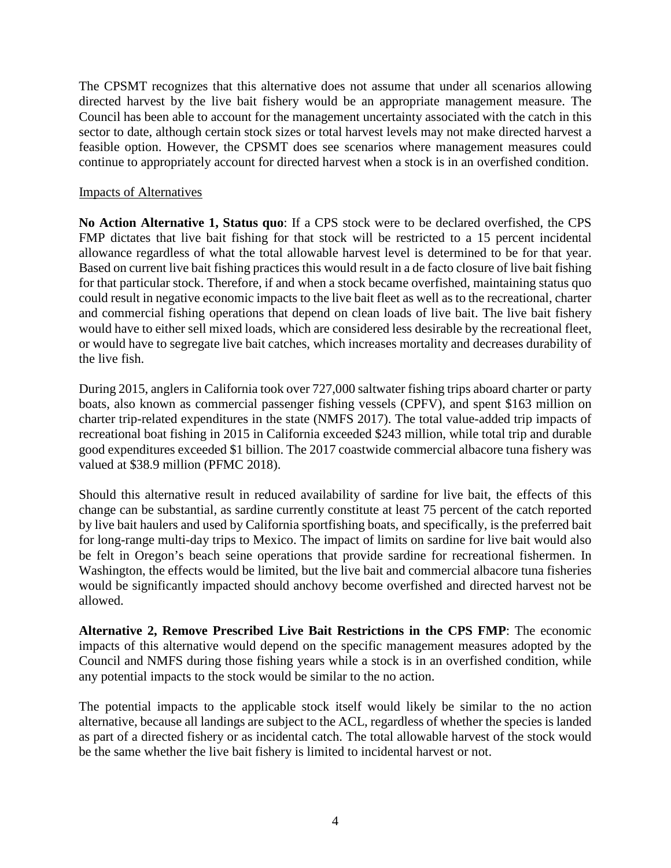The CPSMT recognizes that this alternative does not assume that under all scenarios allowing directed harvest by the live bait fishery would be an appropriate management measure. The Council has been able to account for the management uncertainty associated with the catch in this sector to date, although certain stock sizes or total harvest levels may not make directed harvest a feasible option. However, the CPSMT does see scenarios where management measures could continue to appropriately account for directed harvest when a stock is in an overfished condition.

### Impacts of Alternatives

**No Action Alternative 1, Status quo**: If a CPS stock were to be declared overfished, the CPS FMP dictates that live bait fishing for that stock will be restricted to a 15 percent incidental allowance regardless of what the total allowable harvest level is determined to be for that year. Based on current live bait fishing practices this would result in a de facto closure of live bait fishing for that particular stock. Therefore, if and when a stock became overfished, maintaining status quo could result in negative economic impacts to the live bait fleet as well as to the recreational, charter and commercial fishing operations that depend on clean loads of live bait. The live bait fishery would have to either sell mixed loads, which are considered less desirable by the recreational fleet, or would have to segregate live bait catches, which increases mortality and decreases durability of the live fish.

During 2015, anglers in California took over 727,000 saltwater fishing trips aboard charter or party boats, also known as commercial passenger fishing vessels (CPFV), and spent \$163 million on charter trip-related expenditures in the state (NMFS 2017). The total value-added trip impacts of recreational boat fishing in 2015 in California exceeded \$243 million, while total trip and durable good expenditures exceeded \$1 billion. The 2017 coastwide commercial albacore tuna fishery was valued at \$38.9 million (PFMC 2018).

Should this alternative result in reduced availability of sardine for live bait, the effects of this change can be substantial, as sardine currently constitute at least 75 percent of the catch reported by live bait haulers and used by California sportfishing boats, and specifically, is the preferred bait for long-range multi-day trips to Mexico. The impact of limits on sardine for live bait would also be felt in Oregon's beach seine operations that provide sardine for recreational fishermen. In Washington, the effects would be limited, but the live bait and commercial albacore tuna fisheries would be significantly impacted should anchovy become overfished and directed harvest not be allowed.

**Alternative 2, Remove Prescribed Live Bait Restrictions in the CPS FMP**: The economic impacts of this alternative would depend on the specific management measures adopted by the Council and NMFS during those fishing years while a stock is in an overfished condition, while any potential impacts to the stock would be similar to the no action.

The potential impacts to the applicable stock itself would likely be similar to the no action alternative, because all landings are subject to the ACL, regardless of whether the species is landed as part of a directed fishery or as incidental catch. The total allowable harvest of the stock would be the same whether the live bait fishery is limited to incidental harvest or not.